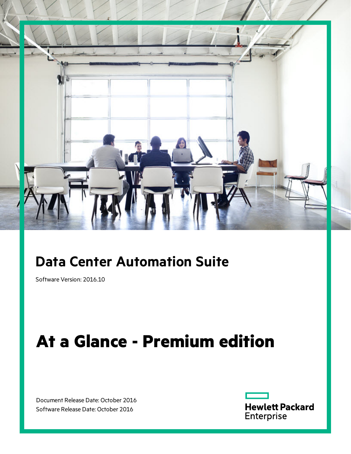

# **Data Center Automation Suite**

Software Version: 2016.10

# **At a Glance - Premium edition**

Document Release Date: October 2016 Software Release Date: October 2016

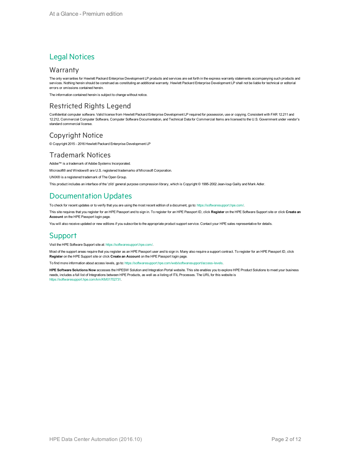#### Legal Notices

#### **Warranty**

The only warranties for Hewlett Packard Enterprise Development LP products and services are set forth in the express warranty statements accompanying such products and services. Nothing herein should be construed as constituting an additional warranty. Hewlett Packard Enterprise Development LP shall not be liable for technical or editorial errors or omissions contained herein.

The information contained herein is subject to change without notice.

#### Restricted Rights Legend

Confidential computer software. Valid license from Hewlett Packard Enterprise Development LP required for possession, use or copying. Consistent with FAR 12.211 and 12.212, Commercial Computer Software, Computer Software Documentation, and Technical Data for Commercial Items are licensed to the U.S. Government under vendor's standard commercial license.

#### Copyright Notice

© Copyright 2015 - 2016 Hewlett Packard Enterprise Development LP

#### Trademark Notices

Adobe™ is a trademark of Adobe Systems Incorporated.

Microsoft® and Windows® are U.S. registered trademarks of Microsoft Corporation.

UNIX® is a registered trademark of The Open Group.

This product includes an interface of the 'zlib' general purpose compression library, which is Copyright © 1995-2002 Jean-loup Gailly and Mark Adler.

#### Documentation Updates

To check for recent updates or to verify that you are using the most recent edition of a document, go to: <https://softwaresupport.hpe.com/>.

This site requires that you register for an HPE Passport and to sign in. To register for an HPE Passport ID, click **Register** on the HPE Software Support site or click **Create an Account** on the HPE Passport login page.

You will also receive updated or new editions if you subscribe to the appropriate product support service. Contact your HPE sales representative for details.

#### **Support**

Visit the HPE Software Support site at: <https://softwaresupport.hpe.com/>.

Most of the support areas require that you register as an HPE Passport user and to sign in. Many also require a support contract. To register for an HPE Passport ID, click **Register** on the HPE Support site or click **Create an Account** on the HPE Passport login page.

To find more information about access levels, go to: https://softwaresupport.hpe.com/web/softwaresupport/a

**HPE Software Solutions Now** accesses the HPESW Solution and Integration Portal website. This site enables you to explore HPE Product Solutions to meet your business needs, includes a full list of Integrations between HPE Products, as well as a listing of ITIL Processes. The URL for this website is [https://softwaresupport.hpe.com/km/KM01702731.](https://softwaresupport.hpe.com/km/KM01702731)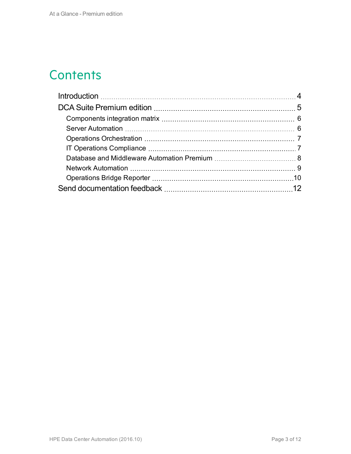# **Contents**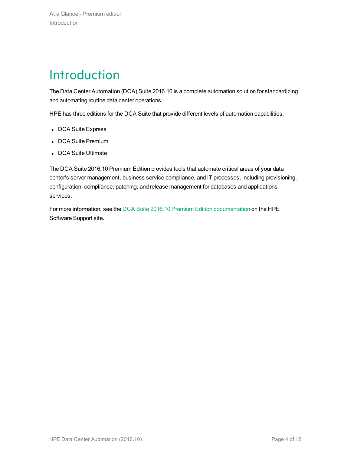# <span id="page-3-0"></span>**Introduction**

The Data Center Automation (DCA) Suite 2016.10 is a complete automation solution for standardizing and automating routine data center operations.

HPE has three editions for the DCA Suite that provide different levels of automation capabilities:

- DCA Suite Express
- DCA Suite Premium
- DCA Suite Ultimate

The DCA Suite 2016.10 Premium Edition provides tools that automate critical areas of your data center's server management, business service compliance, and IT processes, including provisioning, configuration, compliance, patching, and release management for databases and applications services.

For more information, see the DCA Suite 2016.10 Premium Edition [documentation](https://softwaresupport.hpe.com/km/KM02605725) on the HPE Software Support site.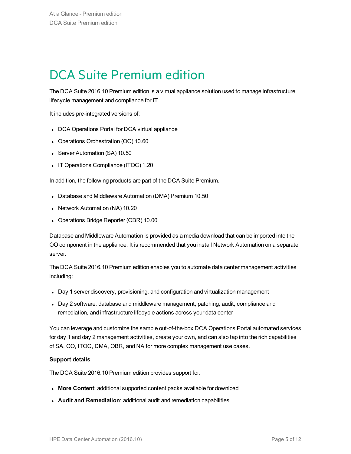# <span id="page-4-0"></span>DCA Suite Premium edition

The DCA Suite 2016.10 Premium edition is a virtual appliance solution used to manage infrastructure lifecycle management and compliance for IT.

It includes pre-integrated versions of:

- DCA Operations Portal for DCA virtual appliance
- Operations Orchestration (OO) 10.60
- Server Automation (SA) 10.50
- IT Operations Compliance (ITOC) 1.20

In addition, the following products are part of the DCA Suite Premium.

- Database and Middleware Automation (DMA) Premium 10.50
- Network Automation (NA) 10.20
- Operations Bridge Reporter (OBR) 10.00

Database and Middleware Automation is provided as a media download that can be imported into the OO component in the appliance. It is recommended that you install Network Automation on a separate server.

The DCA Suite 2016.10 Premium edition enables you to automate data center management activities including:

- Day 1 server discovery, provisioning, and configuration and virtualization management
- Day 2 software, database and middleware management, patching, audit, compliance and remediation, and infrastructure lifecycle actions across your data center

You can leverage and customize the sample out-of-the-box DCA Operations Portal automated services for day 1 and day 2 management activities, create your own, and can also tap into the rich capabilities of SA, OO, ITOC, DMA, OBR, and NA for more complex management use cases.

#### **Support details**

The DCA Suite 2016.10 Premium edition provides support for:

- **More Content:** additional supported content packs available for download
- **Audit and Remediation**: additional audit and remediation capabilities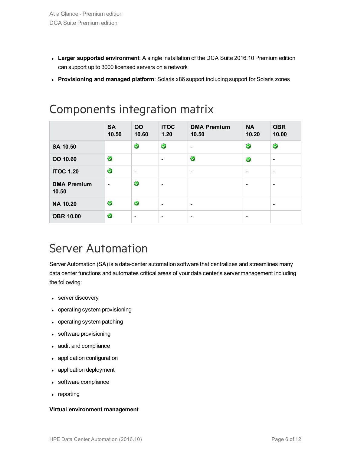- **Larger supported environment**: A single installation of the DCA Suite 2016.10 Premium edition can support up to 3000 licensed servers on a network
- <sup>l</sup> **Provisioning and managed platform**: Solaris x86 support including support for Solaris zones

|                             | <b>SA</b><br>10.50       | <b>OO</b><br>10.60       | <b>ITOC</b><br>1.20          | <b>DMA Premium</b><br>10.50 | <b>NA</b><br>10.20       | <b>OBR</b><br>10.00          |
|-----------------------------|--------------------------|--------------------------|------------------------------|-----------------------------|--------------------------|------------------------------|
| SA 10.50                    |                          | $\blacktriangledown$     | $\bullet$                    | $\qquad \qquad$             | $\bullet$                | $\bullet$                    |
| OO 10.60                    | $\bullet$                |                          | $\overline{\phantom{a}}$     | $\bullet$                   | $\bullet$                | $\overline{\phantom{a}}$     |
| <b>ITOC 1.20</b>            | $\bullet$                | $\overline{\phantom{a}}$ |                              | $\overline{\phantom{a}}$    | $\overline{\phantom{a}}$ | $\overline{\phantom{a}}$     |
| <b>DMA Premium</b><br>10.50 | $\overline{\phantom{0}}$ | V                        | $\overline{\phantom{a}}$     |                             | $\overline{\phantom{a}}$ | $\overline{\phantom{a}}$     |
| <b>NA 10.20</b>             | $\bullet$                | V                        | $\overline{\phantom{a}}$     | $\overline{\phantom{a}}$    |                          | $\qquad \qquad \blacksquare$ |
| <b>OBR 10.00</b>            | $\bullet$                | $\overline{\phantom{a}}$ | $\qquad \qquad \blacksquare$ | -                           | $\overline{\phantom{a}}$ |                              |

### <span id="page-5-0"></span>Components integration matrix

### <span id="page-5-1"></span>Server Automation

Server Automation (SA) is a data-center automation software that centralizes and streamlines many data center functions and automates critical areas of your data center's server management including the following:

- server discovery
- operating system provisioning
- operating system patching
- software provisioning
- audit and compliance
- application configuration
- application deployment
- software compliance
- reporting

#### **Virtual environment management**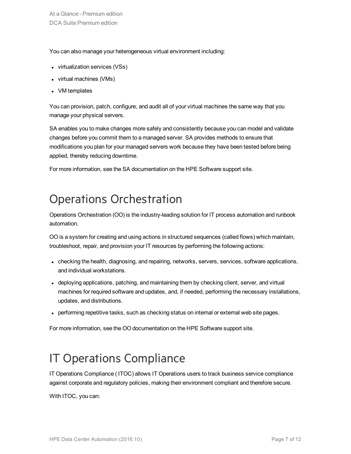You can also manage your heterogeneous virtual environment including:

- virtualization services (VSs)
- virtual machines (VMs)
- VM templates

You can provision, patch, configure, and audit all of your virtual machines the same way that you manage your physical servers.

SA enables you to make changes more safely and consistently because you can model and validate changes before you commit them to a managed server. SA provides methods to ensure that modifications you plan for your managed servers work because they have been tested before being applied, thereby reducing downtime.

For more information, see the SA documentation on the HPE Software support site.

### <span id="page-6-0"></span>Operations Orchestration

Operations Orchestration (OO) is the industry-leading solution for IT process automation and runbook automation.

OO is a system for creating and using actions in structured sequences (called flows) which maintain, troubleshoot, repair, and provision your IT resources by performing the following actions:

- checking the health, diagnosing, and repairing, networks, servers, services, software applications, and individual workstations.
- deploying applications, patching, and maintaining them by checking client, server, and virtual machines for required software and updates, and, if needed, performing the necessary installations, updates, and distributions.
- performing repetitive tasks, such as checking status on internal or external web site pages.

For more information, see the OO documentation on the HPE Software support site.

## <span id="page-6-1"></span>IT Operations Compliance

IT Operations Compliance ( ITOC) allows IT Operations users to track business service compliance against corporate and regulatory policies, making their environment compliant and therefore secure.

With ITOC, you can: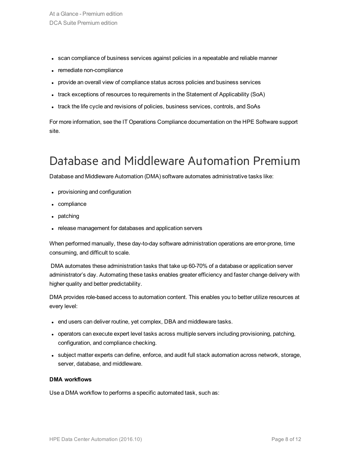- scan compliance of business services against policies in a repeatable and reliable manner
- remediate non-compliance
- provide an overall view of compliance status across policies and business services
- track exceptions of resources to requirements in the Statement of Applicability (SoA)
- track the life cycle and revisions of policies, business services, controls, and SoAs

For more information, see the IT Operations Compliance documentation on the HPE Software support site.

### <span id="page-7-0"></span>Database and Middleware Automation Premium

Database and Middleware Automation (DMA) software automates administrative tasks like:

- provisioning and configuration
- compliance
- $\bullet$  patching
- release management for databases and application servers

When performed manually, these day-to-day software administration operations are error-prone, time consuming, and difficult to scale.

DMA automates these administration tasks that take up 60-70% of a database or application server administrator's day. Automating these tasks enables greater efficiency and faster change delivery with higher quality and better predictability.

DMA provides role-based access to automation content. This enables you to better utilize resources at every level:

- end users can deliver routine, yet complex, DBA and middleware tasks.
- operators can execute expert level tasks across multiple servers including provisioning, patching, configuration, and compliance checking.
- subject matter experts can define, enforce, and audit full stack automation across network, storage, server, database, and middleware.

#### **DMA workflows**

Use a DMA workflow to performs a specific automated task, such as: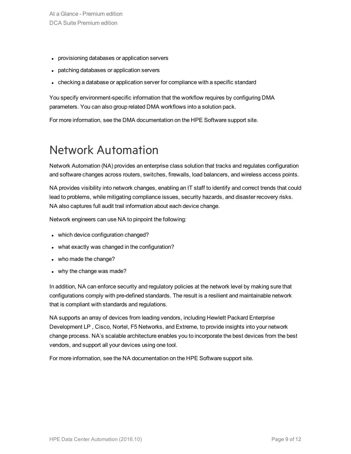- provisioning databases or application servers
- patching databases or application servers
- checking a database or application server for compliance with a specific standard

You specify environment-specific information that the workflow requires by configuring DMA parameters. You can also group related DMA workflows into a solution pack.

For more information, see the DMA documentation on the HPE Software support site.

### <span id="page-8-0"></span>Network Automation

Network Automation (NA) provides an enterprise class solution that tracks and regulates configuration and software changes across routers, switches, firewalls, load balancers, and wireless access points.

NA provides visibility into network changes, enabling an IT staff to identify and correct trends that could lead to problems, while mitigating compliance issues, security hazards, and disaster recovery risks. NA also captures full audit trail information about each device change.

Network engineers can use NA to pinpoint the following:

- which device configuration changed?
- what exactly was changed in the configuration?
- who made the change?
- why the change was made?

In addition, NA can enforce security and regulatory policies at the network level by making sure that configurations comply with pre-defined standards. The result is a resilient and maintainable network that is compliant with standards and regulations.

NA supports an array of devices from leading vendors, including Hewlett Packard Enterprise Development LP , Cisco, Nortel, F5 Networks, and Extreme, to provide insights into your network change process. NA's scalable architecture enables you to incorporate the best devices from the best vendors, and support all your devices using one tool.

For more information, see the NA documentation on the HPE Software support site.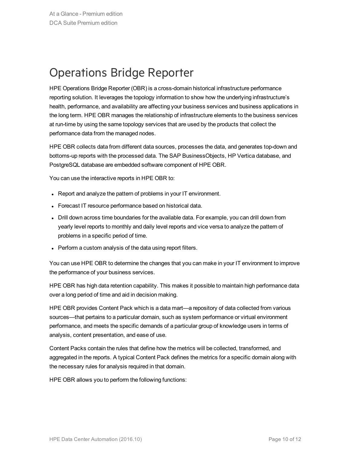### <span id="page-9-0"></span>Operations Bridge Reporter

HPE Operations Bridge Reporter (OBR) is a cross-domain historical infrastructure performance reporting solution. It leverages the topology information to show how the underlying infrastructure's health, performance, and availability are affecting your business services and business applications in the long term. HPE OBR manages the relationship of infrastructure elements to the business services at run-time by using the same topology services that are used by the products that collect the performance data from the managed nodes.

HPE OBR collects data from different data sources, processes the data, and generates top-down and bottoms-up reports with the processed data. The SAP BusinessObjects, HP Vertica database, and PostgreSQL database are embedded software component of HPE OBR.

You can use the interactive reports in HPE OBR to:

- Report and analyze the pattern of problems in your IT environment.
- Forecast IT resource performance based on historical data.
- Drill down across time boundaries for the available data. For example, you can drill down from yearly level reports to monthly and daily level reports and vice versa to analyze the pattern of problems in a specific period of time.
- Perform a custom analysis of the data using report filters.

You can use HPE OBR to determine the changes that you can make in your IT environment to improve the performance of your business services.

HPE OBR has high data retention capability. This makes it possible to maintain high performance data over a long period of time and aid in decision making.

HPE OBR provides Content Pack which is a data mart—a repository of data collected from various sources—that pertains to a particular domain, such as system performance or virtual environment performance, and meets the specific demands of a particular group of knowledge users in terms of analysis, content presentation, and ease of use.

Content Packs contain the rules that define how the metrics will be collected, transformed, and aggregated in the reports. A typical Content Pack defines the metrics for a specific domain along with the necessary rules for analysis required in that domain.

HPE OBR allows you to perform the following functions: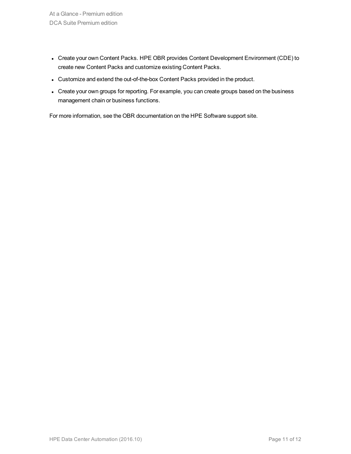- Create your own Content Packs. HPE OBR provides Content Development Environment (CDE) to create new Content Packs and customize existing Content Packs.
- Customize and extend the out-of-the-box Content Packs provided in the product.
- Create your own groups for reporting. For example, you can create groups based on the business management chain or business functions.

For more information, see the OBR documentation on the HPE Software support site.